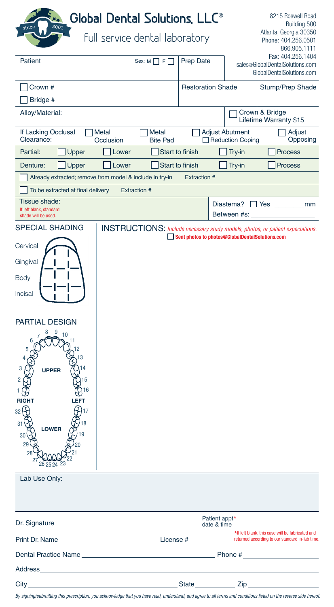| 2001<br>since                                                                   |                                | Global Dental Solutions, LLC <sup>®</sup> |                          |               |                                                 | 8215 Roswell Road<br>Building 500                                                                   |
|---------------------------------------------------------------------------------|--------------------------------|-------------------------------------------|--------------------------|---------------|-------------------------------------------------|-----------------------------------------------------------------------------------------------------|
|                                                                                 | full service dental laboratory |                                           |                          |               |                                                 | Atlanta, Georgia 30350<br>Phone: 404.256.0501<br>866.905.1111                                       |
| Patient                                                                         |                                | Sex: $M \prod F \prod$                    | Prep Date                |               |                                                 | Fax: 404.256.1404<br>sales@GlobalDentalSolutions.com<br>GlobalDentalSolutions.com                   |
| Crown #<br>Bridge #                                                             |                                |                                           | <b>Restoration Shade</b> |               |                                                 | Stump/Prep Shade                                                                                    |
| Alloy/Material:                                                                 |                                |                                           |                          |               |                                                 | Crown & Bridge<br>Lifetime Warranty \$15                                                            |
| If Lacking Occlusal<br>Clearance:                                               | Metal<br>Occlusion             | Metal<br><b>Bite Pad</b>                  |                          |               | <b>Adjust Abutment</b><br>Reduction Coping      | Adjust<br>Opposing                                                                                  |
| Partial:<br>Upper                                                               | Lower                          |                                           | Start to finish          |               | Try-in                                          | <b>Process</b>                                                                                      |
| Denture:<br>Upper                                                               | Lower                          |                                           | Start to finish          |               | Try-in                                          | <b>Process</b>                                                                                      |
| Already extracted; remove from model & include in try-in<br><b>Extraction #</b> |                                |                                           |                          |               |                                                 |                                                                                                     |
| To be extracted at final delivery                                               |                                | <b>Extraction #</b>                       |                          |               |                                                 |                                                                                                     |
| Tissue shade:<br>If left blank, standard<br>shade will be used.                 |                                |                                           |                          |               | Between #s:                                     | Diastema? $\Box$ Yes $\Box$<br>mm                                                                   |
| <b>SPECIAL SHADING</b>                                                          |                                |                                           |                          |               | Sent photos to photos@GlobalDentalSolutions.com | <b>INSTRUCTIONS:</b> Include necessary study models, photos, or patient expectations.               |
| Cervical                                                                        |                                |                                           |                          |               |                                                 |                                                                                                     |
| Gingival                                                                        |                                |                                           |                          |               |                                                 |                                                                                                     |
| Body                                                                            |                                |                                           |                          |               |                                                 |                                                                                                     |
| Incisal                                                                         |                                |                                           |                          |               |                                                 |                                                                                                     |
| PARTIAL DESIGN                                                                  |                                |                                           |                          |               |                                                 |                                                                                                     |
| 9<br>10                                                                         |                                |                                           |                          |               |                                                 |                                                                                                     |
| <b>UPPER</b><br>2<br>15                                                         |                                |                                           |                          |               |                                                 |                                                                                                     |
| 16<br>Ð<br><b>RIGHT</b><br>LEFT                                                 |                                |                                           |                          |               |                                                 |                                                                                                     |
| 32                                                                              |                                |                                           |                          |               |                                                 |                                                                                                     |
| 31<br><b>LOWER</b><br>30                                                        |                                |                                           |                          |               |                                                 |                                                                                                     |
| 29<br>28<br>26 25 24 23                                                         |                                |                                           |                          |               |                                                 |                                                                                                     |
| Lab Use Only:                                                                   |                                |                                           |                          |               |                                                 |                                                                                                     |
|                                                                                 |                                |                                           |                          |               |                                                 |                                                                                                     |
|                                                                                 |                                |                                           |                          | Patient appt* |                                                 |                                                                                                     |
|                                                                                 |                                |                                           |                          |               |                                                 | *If left blank, this case will be fabricated and<br>returned according to our standard in-lab time. |
| Dental Practice Name <b>Example 2018</b>                                        |                                |                                           |                          |               |                                                 | Phone #                                                                                             |
|                                                                                 |                                |                                           |                          |               |                                                 |                                                                                                     |
|                                                                                 |                                |                                           |                          |               |                                                 |                                                                                                     |

*By signing/submitting this prescription, you acknowledge that you have read, understand, and agree to all terms and conditions listed on the reverse side hereof.*